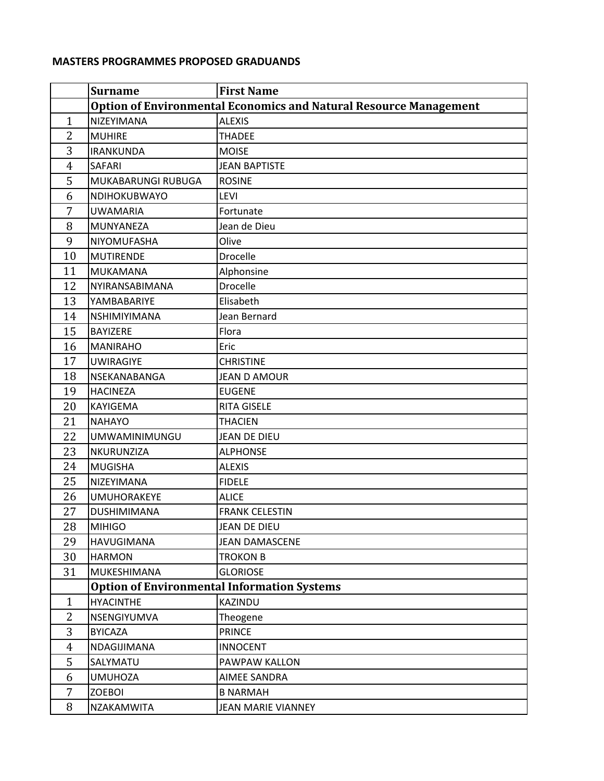## **MASTERS PROGRAMMES PROPOSED GRADUANDS**

|                | <b>Surname</b>       | <b>First Name</b>                                                        |
|----------------|----------------------|--------------------------------------------------------------------------|
|                |                      | <b>Option of Environmental Economics and Natural Resource Management</b> |
| $\mathbf{1}$   | NIZEYIMANA           | <b>ALEXIS</b>                                                            |
| $\overline{2}$ | <b>MUHIRE</b>        | <b>THADEE</b>                                                            |
| 3              | <b>IRANKUNDA</b>     | <b>MOISE</b>                                                             |
| 4              | <b>SAFARI</b>        | <b>JEAN BAPTISTE</b>                                                     |
| 5              | MUKABARUNGI RUBUGA   | <b>ROSINE</b>                                                            |
| 6              | NDIHOKUBWAYO         | <b>LEVI</b>                                                              |
| 7              | <b>UWAMARIA</b>      | Fortunate                                                                |
| 8              | MUNYANEZA            | Jean de Dieu                                                             |
| 9              | NIYOMUFASHA          | Olive                                                                    |
| 10             | <b>MUTIRENDE</b>     | Drocelle                                                                 |
| 11             | <b>MUKAMANA</b>      | Alphonsine                                                               |
| 12             | NYIRANSABIMANA       | Drocelle                                                                 |
| 13             | YAMBABARIYE          | Elisabeth                                                                |
| 14             | NSHIMIYIMANA         | Jean Bernard                                                             |
| 15             | BAYIZERE             | Flora                                                                    |
| 16             | <b>MANIRAHO</b>      | Eric                                                                     |
| 17             | <b>UWIRAGIYE</b>     | <b>CHRISTINE</b>                                                         |
| 18             | NSEKANABANGA         | <b>JEAN D AMOUR</b>                                                      |
| 19             | <b>HACINEZA</b>      | <b>EUGENE</b>                                                            |
| 20             | KAYIGEMA             | <b>RITA GISELE</b>                                                       |
| 21             | <b>NAHAYO</b>        | <b>THACIEN</b>                                                           |
| 22             | <b>UMWAMINIMUNGU</b> | <b>JEAN DE DIEU</b>                                                      |
| 23             | NKURUNZIZA           | <b>ALPHONSE</b>                                                          |
| 24             | <b>MUGISHA</b>       | <b>ALEXIS</b>                                                            |
| 25             | NIZEYIMANA           | <b>FIDELE</b>                                                            |
| 26             | <b>UMUHORAKEYE</b>   | <b>ALICE</b>                                                             |
| 27             | DUSHIMIMANA          | <b>FRANK CELESTIN</b>                                                    |
| 28             | <b>MIHIGO</b>        | JEAN DE DIEU                                                             |
| 29             | <b>HAVUGIMANA</b>    | <b>JEAN DAMASCENE</b>                                                    |
| 30             | <b>HARMON</b>        | <b>TROKON B</b>                                                          |
| 31             | MUKESHIMANA          | <b>GLORIOSE</b>                                                          |
|                |                      | <b>Option of Environmental Information Systems</b>                       |
| $\mathbf{1}$   | <b>HYACINTHE</b>     | KAZINDU                                                                  |
| $\overline{2}$ | NSENGIYUMVA          | Theogene                                                                 |
| 3              | <b>BYICAZA</b>       | <b>PRINCE</b>                                                            |
| 4              | NDAGIJIMANA          | <b>INNOCENT</b>                                                          |
| 5              | SALYMATU             | PAWPAW KALLON                                                            |
| 6              | <b>UMUHOZA</b>       | AIMEE SANDRA                                                             |
| 7              | <b>ZOEBOI</b>        | <b>B NARMAH</b>                                                          |
| 8              | NZAKAMWITA           | <b>JEAN MARIE VIANNEY</b>                                                |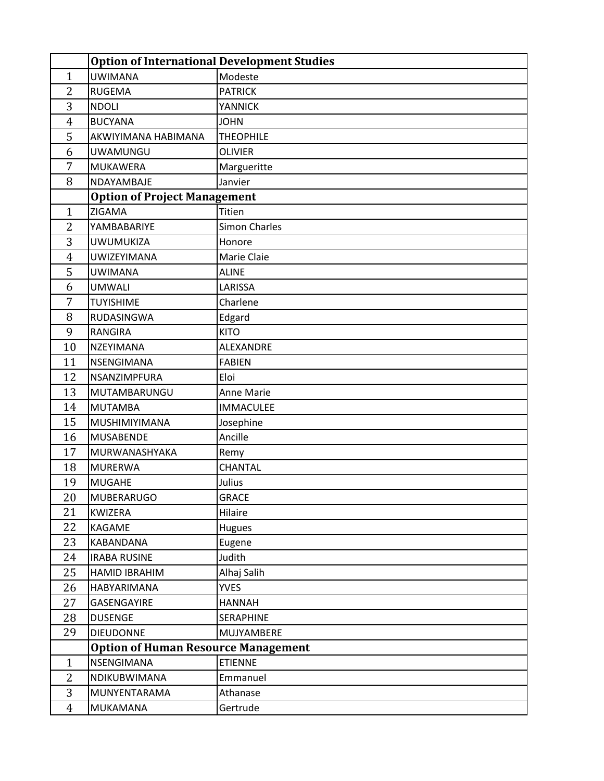|                | <b>Option of International Development Studies</b> |                      |  |
|----------------|----------------------------------------------------|----------------------|--|
| $\mathbf{1}$   | <b>UWIMANA</b>                                     | Modeste              |  |
| $\overline{2}$ | <b>RUGEMA</b>                                      | <b>PATRICK</b>       |  |
| 3              | <b>NDOLI</b>                                       | <b>YANNICK</b>       |  |
| $\overline{4}$ | <b>BUCYANA</b>                                     | <b>JOHN</b>          |  |
| 5              | AKWIYIMANA HABIMANA                                | <b>THEOPHILE</b>     |  |
| 6              | UWAMUNGU                                           | <b>OLIVIER</b>       |  |
| 7              | <b>MUKAWERA</b>                                    | Margueritte          |  |
| 8              | NDAYAMBAJE                                         | Janvier              |  |
|                | <b>Option of Project Management</b>                |                      |  |
| $\mathbf{1}$   | ZIGAMA                                             | Titien               |  |
| $\overline{2}$ | YAMBABARIYE                                        | <b>Simon Charles</b> |  |
| 3              | <b>UWUMUKIZA</b>                                   | Honore               |  |
| 4              | <b>UWIZEYIMANA</b>                                 | Marie Claie          |  |
| 5              | <b>UWIMANA</b>                                     | <b>ALINE</b>         |  |
| 6              | <b>UMWALI</b>                                      | LARISSA              |  |
| 7              | <b>TUYISHIME</b>                                   | Charlene             |  |
| 8              | RUDASINGWA                                         | Edgard               |  |
| 9              | <b>RANGIRA</b>                                     | <b>KITO</b>          |  |
| 10             | NZEYIMANA                                          | ALEXANDRE            |  |
| 11             | NSENGIMANA                                         | <b>FABIEN</b>        |  |
| 12             | NSANZIMPFURA                                       | Eloi                 |  |
| 13             | MUTAMBARUNGU                                       | Anne Marie           |  |
| 14             | <b>MUTAMBA</b>                                     | <b>IMMACULEE</b>     |  |
| 15             | MUSHIMIYIMANA                                      | Josephine            |  |
| 16             | <b>MUSABENDE</b>                                   | Ancille              |  |
| 17             | MURWANASHYAKA                                      | Remy                 |  |
| 18             | <b>MURERWA</b>                                     | CHANTAL              |  |
| 19             | <b>MUGAHE</b>                                      | Julius               |  |
| 20             | MUBERARUGO                                         | <b>GRACE</b>         |  |
| 21             | KWIZERA                                            | Hilaire              |  |
| 22             | KAGAME                                             | Hugues               |  |
| 23             | KABANDANA                                          | Eugene               |  |
| 24             | <b>IRABA RUSINE</b>                                | Judith               |  |
| 25             | HAMID IBRAHIM                                      | Alhaj Salih          |  |
| 26             | HABYARIMANA                                        | <b>YVES</b>          |  |
| 27             | GASENGAYIRE                                        | <b>HANNAH</b>        |  |
| 28             | <b>DUSENGE</b>                                     | SERAPHINE            |  |
| 29             | <b>DIEUDONNE</b>                                   | MUJYAMBERE           |  |
|                | <b>Option of Human Resource Management</b>         |                      |  |
| $\mathbf{1}$   | NSENGIMANA                                         | <b>ETIENNE</b>       |  |
| 2              | NDIKUBWIMANA                                       | Emmanuel             |  |
| 3              | MUNYENTARAMA                                       | Athanase             |  |
| 4              | MUKAMANA                                           | Gertrude             |  |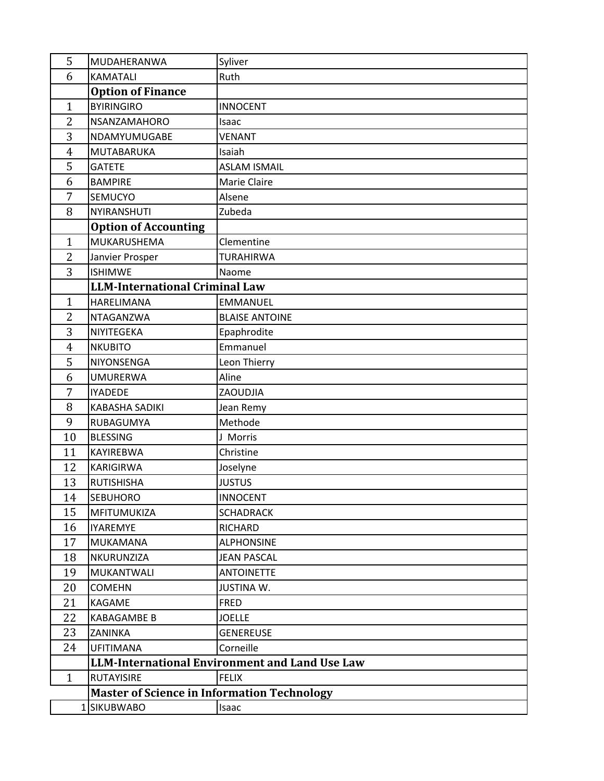| 5              | MUDAHERANWA                                        | Syliver                                               |  |
|----------------|----------------------------------------------------|-------------------------------------------------------|--|
| 6              | <b>KAMATALI</b>                                    | Ruth                                                  |  |
|                | <b>Option of Finance</b>                           |                                                       |  |
| $\mathbf{1}$   | <b>BYIRINGIRO</b>                                  | <b>INNOCENT</b>                                       |  |
| 2              | NSANZAMAHORO                                       | Isaac                                                 |  |
| 3              | NDAMYUMUGABE                                       | <b>VENANT</b>                                         |  |
| $\overline{4}$ | <b>MUTABARUKA</b>                                  | Isaiah                                                |  |
| 5              | <b>GATETE</b>                                      | <b>ASLAM ISMAIL</b>                                   |  |
| 6              | <b>BAMPIRE</b>                                     | Marie Claire                                          |  |
| 7              | SEMUCYO                                            | Alsene                                                |  |
| 8              | NYIRANSHUTI                                        | Zubeda                                                |  |
|                | <b>Option of Accounting</b>                        |                                                       |  |
| $\mathbf{1}$   | MUKARUSHEMA                                        | Clementine                                            |  |
| $\overline{2}$ | Janvier Prosper                                    | <b>TURAHIRWA</b>                                      |  |
| 3              | <b>ISHIMWE</b>                                     | Naome                                                 |  |
|                | <b>LLM-International Criminal Law</b>              |                                                       |  |
| $\mathbf{1}$   | <b>HARELIMANA</b>                                  | <b>EMMANUEL</b>                                       |  |
| 2              | NTAGANZWA                                          | <b>BLAISE ANTOINE</b>                                 |  |
| 3              | NIYITEGEKA                                         | Epaphrodite                                           |  |
| $\overline{4}$ | <b>NKUBITO</b>                                     | Emmanuel                                              |  |
| 5              | NIYONSENGA                                         | Leon Thierry                                          |  |
| 6              | <b>UMURERWA</b>                                    | Aline                                                 |  |
| 7              | <b>IYADEDE</b>                                     | ZAOUDJIA                                              |  |
| 8              | <b>KABASHA SADIKI</b>                              | Jean Remy                                             |  |
| 9              | RUBAGUMYA                                          | Methode                                               |  |
| 10             | <b>BLESSING</b>                                    | J Morris                                              |  |
| 11             | KAYIREBWA                                          | Christine                                             |  |
| 12             | <b>KARIGIRWA</b>                                   | Joselyne                                              |  |
| 13             | <b>RUTISHISHA</b>                                  | <b>JUSTUS</b>                                         |  |
| 14             | SEBUHORO                                           | <b>INNOCENT</b>                                       |  |
| 15             | MFITUMUKIZA                                        | <b>SCHADRACK</b>                                      |  |
| 16             | <b>IYAREMYE</b>                                    | <b>RICHARD</b>                                        |  |
| 17             | <b>MUKAMANA</b>                                    | <b>ALPHONSINE</b>                                     |  |
| 18             | NKURUNZIZA                                         | <b>JEAN PASCAL</b>                                    |  |
| 19             | MUKANTWALI                                         | <b>ANTOINETTE</b>                                     |  |
| 20             | <b>COMEHN</b>                                      | <b>JUSTINA W.</b>                                     |  |
| 21             | KAGAME                                             | <b>FRED</b>                                           |  |
| 22             | KABAGAMBE B                                        | <b>JOELLE</b>                                         |  |
| 23             | ZANINKA                                            | <b>GENEREUSE</b>                                      |  |
| 24             | <b>UFITIMANA</b>                                   | Corneille                                             |  |
|                |                                                    | <b>LLM-International Environment and Land Use Law</b> |  |
| $\mathbf{1}$   | <b>RUTAYISIRE</b>                                  | <b>FELIX</b>                                          |  |
|                | <b>Master of Science in Information Technology</b> |                                                       |  |
|                | 1 SIKUBWABO                                        | Isaac                                                 |  |